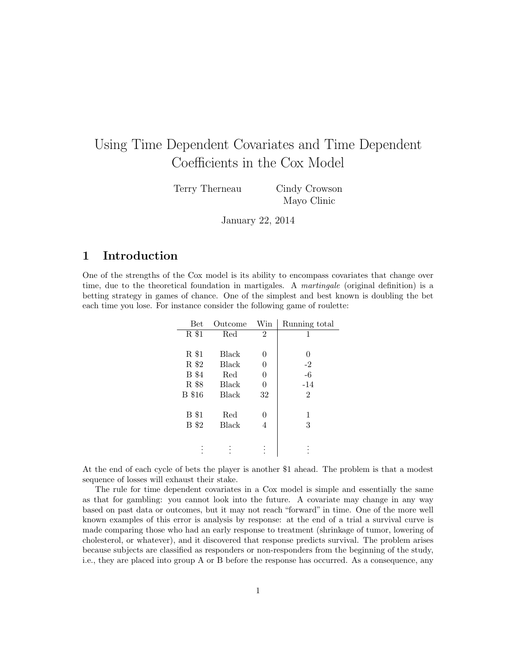# Using Time Dependent Covariates and Time Dependent Coefficients in the Cox Model

Terry Therneau Cindy Crowson

Mayo Clinic

January 22, 2014

## 1 Introduction

One of the strengths of the Cox model is its ability to encompass covariates that change over time, due to the theoretical foundation in martigales. A martingale (original definition) is a betting strategy in games of chance. One of the simplest and best known is doubling the bet each time you lose. For instance consider the following game of roulette:

| <b>Bet</b>    | Outcome      | Win            | Running total    |
|---------------|--------------|----------------|------------------|
| R \$1         | Red          | $\overline{2}$ | 1                |
|               |              |                |                  |
| R \$1         | Black        | 0              | $\left( \right)$ |
| R \$2         | <b>Black</b> | 0              | $-2$             |
| <b>B</b> \$4  | Red          | 0              | $-6$             |
| R \$8         | Black        | $\overline{0}$ | $-14$            |
| <b>B</b> \$16 | <b>Black</b> | 32             | $\overline{2}$   |
|               |              |                |                  |
| <b>B</b> \$1  | Red          | 0              | 1                |
| <b>B</b> \$2  | Black        | 4              | 3                |
|               |              |                |                  |
|               |              |                |                  |
|               |              |                |                  |

At the end of each cycle of bets the player is another \$1 ahead. The problem is that a modest sequence of losses will exhaust their stake.

The rule for time dependent covariates in a Cox model is simple and essentially the same as that for gambling: you cannot look into the future. A covariate may change in any way based on past data or outcomes, but it may not reach "forward" in time. One of the more well known examples of this error is analysis by response: at the end of a trial a survival curve is made comparing those who had an early response to treatment (shrinkage of tumor, lowering of cholesterol, or whatever), and it discovered that response predicts survival. The problem arises because subjects are classified as responders or non-responders from the beginning of the study, i.e., they are placed into group A or B before the response has occurred. As a consequence, any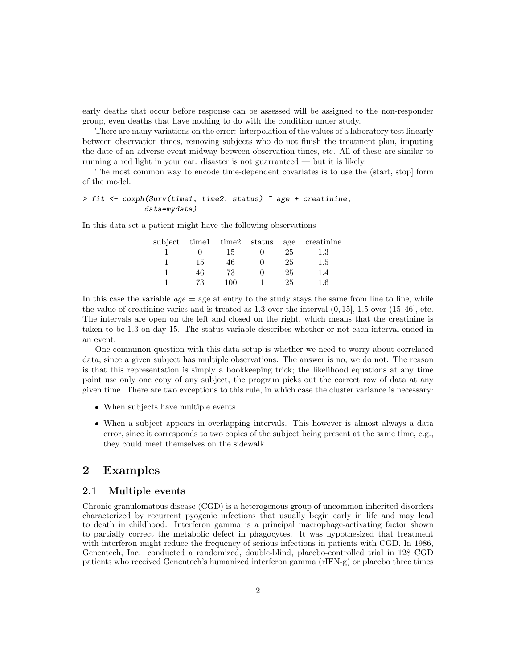early deaths that occur before response can be assessed will be assigned to the non-responder group, even deaths that have nothing to do with the condition under study.

There are many variations on the error: interpolation of the values of a laboratory test linearly between observation times, removing subjects who do not finish the treatment plan, imputing the date of an adverse event midway between observation times, etc. All of these are similar to running a red light in your car: disaster is not guarranteed — but it is likely.

The most common way to encode time-dependent covariates is to use the (start, stop] form of the model.

#### > fit <- coxph(Surv(time1, time2, status) ~ age + creatinine, data=mydata)

In this data set a patient might have the following observations

|    |     |    | subject time1 time2 status age creatinine | $\cdots$ |
|----|-----|----|-------------------------------------------|----------|
|    | 15  | 25 | $1.3\,$                                   |          |
| 15 | 46  | 25 | 1.5                                       |          |
| 46 | 73  | 25 |                                           |          |
| 73 | 100 | 25 | 1.6                                       |          |

In this case the variable  $ae = age$  at entry to the study stays the same from line to line, while the value of creatinine varies and is treated as  $1.3$  over the interval  $(0, 15]$ ,  $1.5$  over  $(15, 46]$ , etc. The intervals are open on the left and closed on the right, which means that the creatinine is taken to be 1.3 on day 15. The status variable describes whether or not each interval ended in an event.

One commmon question with this data setup is whether we need to worry about correlated data, since a given subject has multiple observations. The answer is no, we do not. The reason is that this representation is simply a bookkeeping trick; the likelihood equations at any time point use only one copy of any subject, the program picks out the correct row of data at any given time. There are two exceptions to this rule, in which case the cluster variance is necessary:

- When subjects have multiple events.
- When a subject appears in overlapping intervals. This however is almost always a data error, since it corresponds to two copies of the subject being present at the same time, e.g., they could meet themselves on the sidewalk.

### 2 Examples

#### 2.1 Multiple events

Chronic granulomatous disease (CGD) is a heterogenous group of uncommon inherited disorders characterized by recurrent pyogenic infections that usually begin early in life and may lead to death in childhood. Interferon gamma is a principal macrophage-activating factor shown to partially correct the metabolic defect in phagocytes. It was hypothesized that treatment with interferon might reduce the frequency of serious infections in patients with CGD. In 1986, Genentech, Inc. conducted a randomized, double-blind, placebo-controlled trial in 128 CGD patients who received Genentech's humanized interferon gamma (rIFN-g) or placebo three times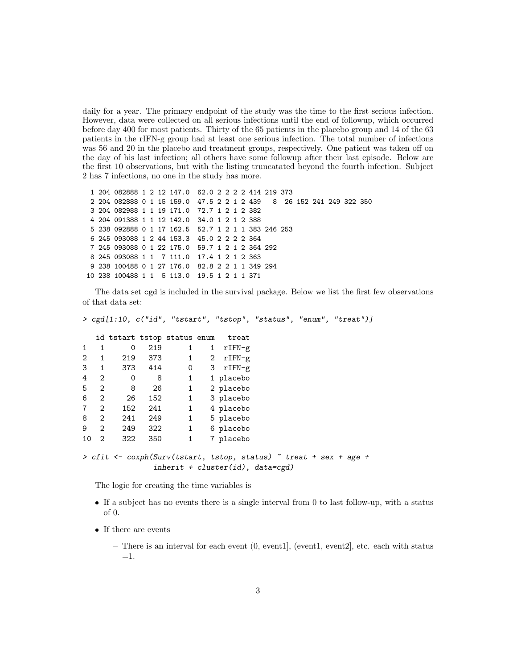daily for a year. The primary endpoint of the study was the time to the first serious infection. However, data were collected on all serious infections until the end of followup, which occurred before day 400 for most patients. Thirty of the 65 patients in the placebo group and 14 of the 63 patients in the rIFN-g group had at least one serious infection. The total number of infections was 56 and 20 in the placebo and treatment groups, respectively. One patient was taken off on the day of his last infection; all others have some followup after their last episode. Below are the first 10 observations, but with the listing truncatated beyond the fourth infection. Subject 2 has 7 infections, no one in the study has more.

```
1 204 082888 1 2 12 147.0 62.0 2 2 2 2 414 219 373
2 204 082888 0 1 15 159.0 47.5 2 2 1 2 439 8 26 152 241 249 322 350
3 204 082988 1 1 19 171.0 72.7 1 2 1 2 382
4 204 091388 1 1 12 142.0 34.0 1 2 1 2 388
5 238 092888 0 1 17 162.5 52.7 1 2 1 1 383 246 253
6 245 093088 1 2 44 153.3 45.0 2 2 2 2 364
7 245 093088 0 1 22 175.0 59.7 1 2 1 2 364 292
8 245 093088 1 1 7 111.0 17.4 1 2 1 2 363
9 238 100488 0 1 27 176.0 82.8 2 2 1 1 349 294
10 238 100488 1 1 5 113.0 19.5 1 2 1 1 371
```
The data set cgd is included in the survival package. Below we list the first few observations of that data set:

> cgd[1:10, c("id", "tstart", "tstop", "status", "enum", "treat")]

|                |                                                                                                          |     |         | id tstart tstop status enum |              | treat      |  |
|----------------|----------------------------------------------------------------------------------------------------------|-----|---------|-----------------------------|--------------|------------|--|
| 1              |                                                                                                          | 0   | 219     | 1                           | $\mathbf{1}$ | $rIFN-g$   |  |
| $\overline{2}$ |                                                                                                          | 219 | - 373   | $\mathbf{1}$                | $\mathbf{2}$ | rIFN-g     |  |
| 3              | $\mathbf{1}$                                                                                             |     | 373 414 | 0                           |              | $3$ rIFN-g |  |
| 4              | 2                                                                                                        | 0   | 8       | $\mathbf{1}$                |              | 1 placebo  |  |
| 5              | 2                                                                                                        | 8   | 26      | $\mathbf{1}$                |              | 2 placebo  |  |
| 6              | $\mathfrak{D}$                                                                                           | 26  | 152     | $\mathbf{1}$                |              | 3 placebo  |  |
| 7              | 2                                                                                                        | 152 | 241     | $\mathbf{1}$                |              | 4 placebo  |  |
| 8              | $\mathcal{D}_{1}$                                                                                        | 241 | 249     | $\mathbf{1}$                |              | 5 placebo  |  |
| 9              | 2                                                                                                        | 249 | 322     | $\mathbf{1}$                |              | 6 placebo  |  |
| 10             | $\overline{2}$                                                                                           | 322 | 350     | $\mathbf{1}$                |              | 7 placebo  |  |
|                | > cfit <- coxph(Surv(tstart, tstop, status) ~ treat + sex + age +<br>$inherit + cluster(id)$ , data=cgd) |     |         |                             |              |            |  |

The logic for creating the time variables is

- If a subject has no events there is a single interval from 0 to last follow-up, with a status of 0.
- $\bullet\,$  If there are events

– There is an interval for each event (0, event1], (event1, event2], etc. each with status  $=1$ .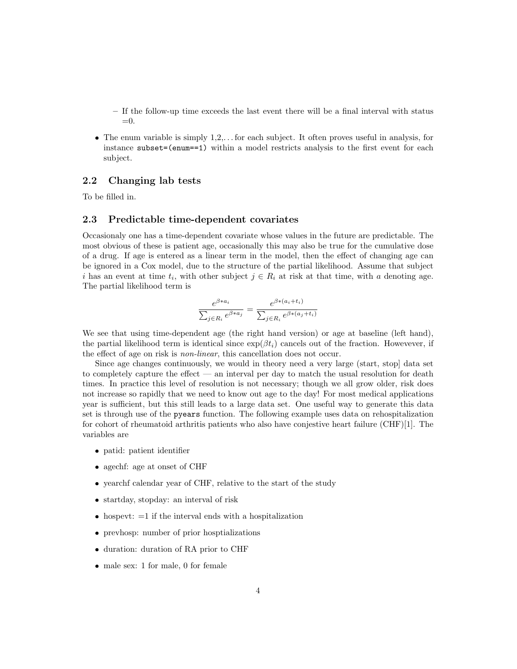- If the follow-up time exceeds the last event there will be a final interval with status =0.
- $\bullet$  The enum variable is simply  $1,2,...$  for each subject. It often proves useful in analysis, for instance subset=(enum==1) within a model restricts analysis to the first event for each subject.

#### 2.2 Changing lab tests

To be filled in.

#### 2.3 Predictable time-dependent covariates

Occasionaly one has a time-dependent covariate whose values in the future are predictable. The most obvious of these is patient age, occasionally this may also be true for the cumulative dose of a drug. If age is entered as a linear term in the model, then the effect of changing age can be ignored in a Cox model, due to the structure of the partial likelihood. Assume that subject i has an event at time  $t_i$ , with other subject  $j \in R_i$  at risk at that time, with a denoting age. The partial likelihood term is

$$
\frac{e^{\beta * a_i}}{\sum_{j \in R_i} e^{\beta * a_j}} = \frac{e^{\beta * (a_i + t_i)}}{\sum_{j \in R_i} e^{\beta * (a_j + t_i)}}
$$

We see that using time-dependent age (the right hand version) or age at baseline (left hand), the partial likelihood term is identical since  $\exp(\beta t_i)$  cancels out of the fraction. Howevever, if the effect of age on risk is non-linear, this cancellation does not occur.

Since age changes continuously, we would in theory need a very large (start, stop] data set to completely capture the effect — an interval per day to match the usual resolution for death times. In practice this level of resolution is not necessary; though we all grow older, risk does not increase so rapidly that we need to know out age to the day! For most medical applications year is sufficient, but this still leads to a large data set. One useful way to generate this data set is through use of the pyears function. The following example uses data on rehospitalization for cohort of rheumatoid arthritis patients who also have conjestive heart failure (CHF)[1]. The variables are

- patid: patient identifier
- agechf: age at onset of CHF
- yearchf calendar year of CHF, relative to the start of the study
- startday, stopday: an interval of risk
- $\bullet$  hospevt:  $=1$  if the interval ends with a hospitalization
- prevhosp: number of prior hosptializations
- duration: duration of RA prior to CHF
- male sex: 1 for male, 0 for female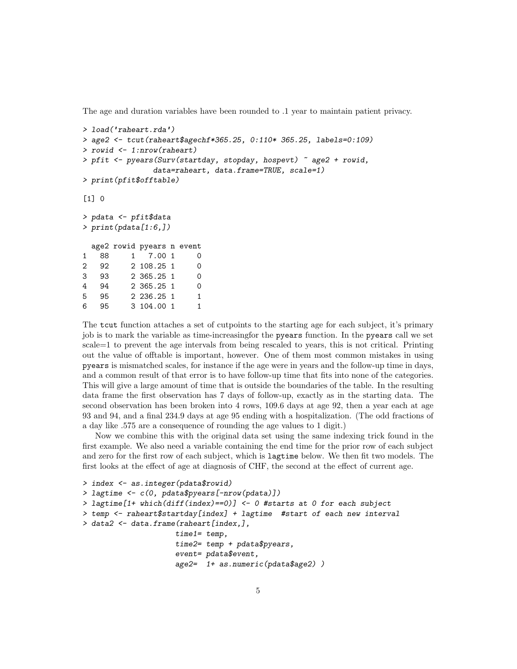The age and duration variables have been rounded to .1 year to maintain patient privacy.

```
> load('raheart.rda')
> age2 <- tcut(raheart$agechf*365.25, 0:110* 365.25, labels=0:109)
> rowid <- 1:nrow(raheart)
> pfit <- pyears(Surv(startday, stopday, hospevt) ~ age2 + rowid,
              data=raheart, data.frame=TRUE, scale=1)
> print(pfit$offtable)
\lceil 1 \rceil 0
> pdata <- pfit$data
> print(pdata[1:6,])
 age2 rowid pyears n event
1 88 1 7.00 1 0
2 92 2 108.25 1 0
3 93 2 365.25 1 0
4 94 2 365.25 1 0
5 95 2 236.25 1 1
6 95 3 104.00 1 1
```
The tcut function attaches a set of cutpoints to the starting age for each subject, it's primary job is to mark the variable as time-increasingfor the pyears function. In the pyears call we set scale=1 to prevent the age intervals from being rescaled to years, this is not critical. Printing out the value of offtable is important, however. One of them most common mistakes in using pyears is mismatched scales, for instance if the age were in years and the follow-up time in days, and a common result of that error is to have follow-up time that fits into none of the categories. This will give a large amount of time that is outside the boundaries of the table. In the resulting data frame the first observation has 7 days of follow-up, exactly as in the starting data. The second observation has been broken into 4 rows, 109.6 days at age 92, then a year each at age 93 and 94, and a final 234.9 days at age 95 ending with a hospitalization. (The odd fractions of a day like .575 are a consequence of rounding the age values to 1 digit.)

Now we combine this with the original data set using the same indexing trick found in the first example. We also need a variable containing the end time for the prior row of each subject and zero for the first row of each subject, which is lagtime below. We then fit two models. The first looks at the effect of age at diagnosis of CHF, the second at the effect of current age.

```
> index <- as.integer(pdata$rowid)
> lagtime <- c(0, pdata$pyears[-nrow(pdata)])
> lagtime[1+ which(diff(index)==0)] <- 0 #starts at 0 for each subject
> temp <- raheart$startday[index] + lagtime #start of each new interval
> data2 <- data.frame(raheart[index,],
                     time1= temp,
                     time2= temp + pdata$pyears,
                     event= pdata$event,
                     age2= 1+ as.numeric(pdata$age2) )
```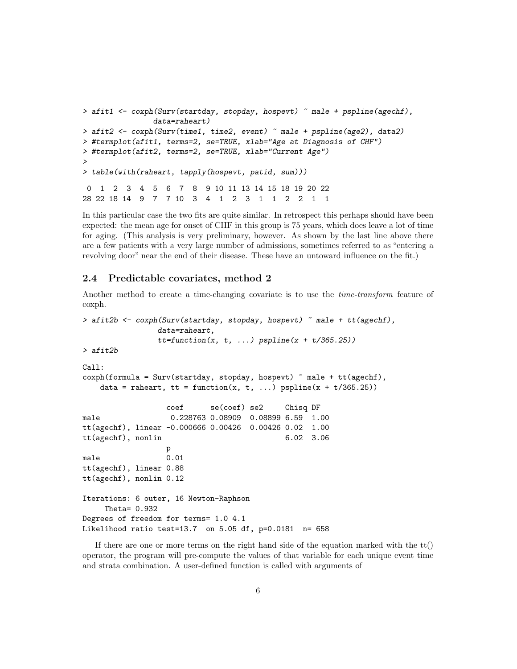```
> afit1 <- coxph(Surv(startday, stopday, hospevt) ~ male + pspline(agechf),
               data=raheart)
> afit2 <- coxph(Surv(time1, time2, event) ~ male + pspline(age2), data2)
> #termplot(afit1, terms=2, se=TRUE, xlab="Age at Diagnosis of CHF")
> #termplot(afit2, terms=2, se=TRUE, xlab="Current Age")
>
> table(with(raheart, tapply(hospevt, patid, sum)))
0 1 2 3 4 5 6 7 8 9 10 11 13 14 15 18 19 20 22
28 22 18 14 9 7 7 10 3 4 1 2 3 1 1 2 2 1 1
```
In this particular case the two fits are quite similar. In retrospect this perhaps should have been expected: the mean age for onset of CHF in this group is 75 years, which does leave a lot of time for aging. (This analysis is very preliminary, however. As shown by the last line above there are a few patients with a very large number of admissions, sometimes referred to as "entering a revolving door" near the end of their disease. These have an untoward influence on the fit.)

#### 2.4 Predictable covariates, method 2

Another method to create a time-changing covariate is to use the time-transform feature of coxph.

```
> afit2b <- coxph(Surv(startday, stopday, hospevt) ~ male + tt(agechf),
               data=raheart,
               tt = function(x, t, ...) pspline(x + t/365.25)
> afit2b
Call:
coxph(formula = Surv(startday, stopday, hospevt) ~ male + tt(agechf),
   data = raheart, tt = function(x, t, ...) pspline(x + t/365.25))coef se(coef) se2 Chisq DF
male 0.228763 0.08909 0.08899 6.59 1.00
tt(agechf), linear -0.000666 0.00426 0.00426 0.02 1.00
tt(agechf), nonlin 6.02 3.06
                 p
male 0.01
tt(agechf), linear 0.88
tt(agechf), nonlin 0.12
Iterations: 6 outer, 16 Newton-Raphson
    Theta= 0.932
Degrees of freedom for terms= 1.0 4.1
Likelihood ratio test=13.7 on 5.05 df, p=0.0181 n= 658
```
If there are one or more terms on the right hand side of the equation marked with the  $tt()$ operator, the program will pre-compute the values of that variable for each unique event time and strata combination. A user-defined function is called with arguments of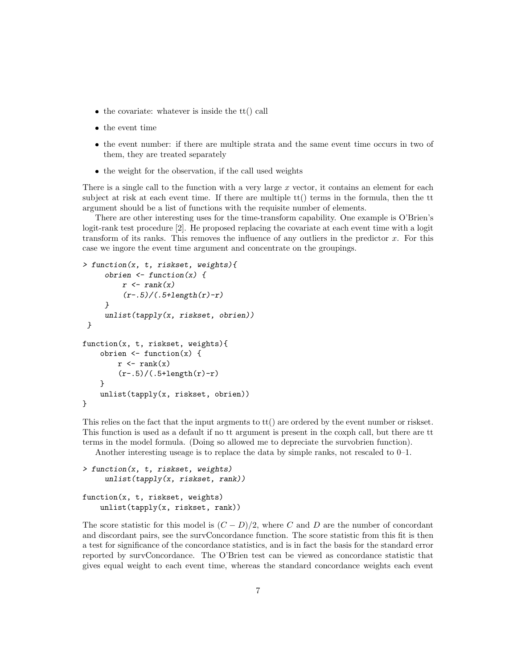- $\bullet$  the covariate: whatever is inside the tt() call
- $\bullet$  the event time
- the event number: if there are multiple strata and the same event time occurs in two of them, they are treated separately
- $\bullet$  the weight for the observation, if the call used weights

There is a single call to the function with a very large x vector, it contains an element for each subject at risk at each event time. If there are multiple  $\text{tt}(t)$  terms in the formula, then the tt argument should be a list of functions with the requisite number of elements.

There are other interesting uses for the time-transform capability. One example is O'Brien's logit-rank test procedure [2]. He proposed replacing the covariate at each event time with a logit transform of its ranks. This removes the influence of any outliers in the predictor  $x$ . For this case we ingore the event time argument and concentrate on the groupings.

```
> function(x, t, riskset, weights){
      obrien \leftarrow function(x) {
          r \leftarrow \text{rank}(x)(r-.5)/(.5+length(r)-r)}
      unlist(tapply(x, riskset, obrien))
 }
function(x, t, riskset, weights){
    obrien \leftarrow function(x) {
         r \leftarrow \text{rank}(x)(r-.5)/(0.5+length(r)-r)}
    unlist(tapply(x, riskset, obrien))
}
```
This relies on the fact that the input argments to tt() are ordered by the event number or riskset. This function is used as a default if no tt argument is present in the coxph call, but there are tt terms in the model formula. (Doing so allowed me to depreciate the survobrien function).

Another interesting useage is to replace the data by simple ranks, not rescaled to 0–1.

```
> function(x, t, riskset, weights)
     unlist(tapply(x, riskset, rank))
function(x, t, riskset, weights)
    unlist(tapply(x, riskset, rank))
```
The score statistic for this model is  $(C - D)/2$ , where C and D are the number of concordant and discordant pairs, see the survConcordance function. The score statistic from this fit is then a test for significance of the concordance statistics, and is in fact the basis for the standard error reported by survConcordance. The O'Brien test can be viewed as concordance statistic that gives equal weight to each event time, whereas the standard concordance weights each event